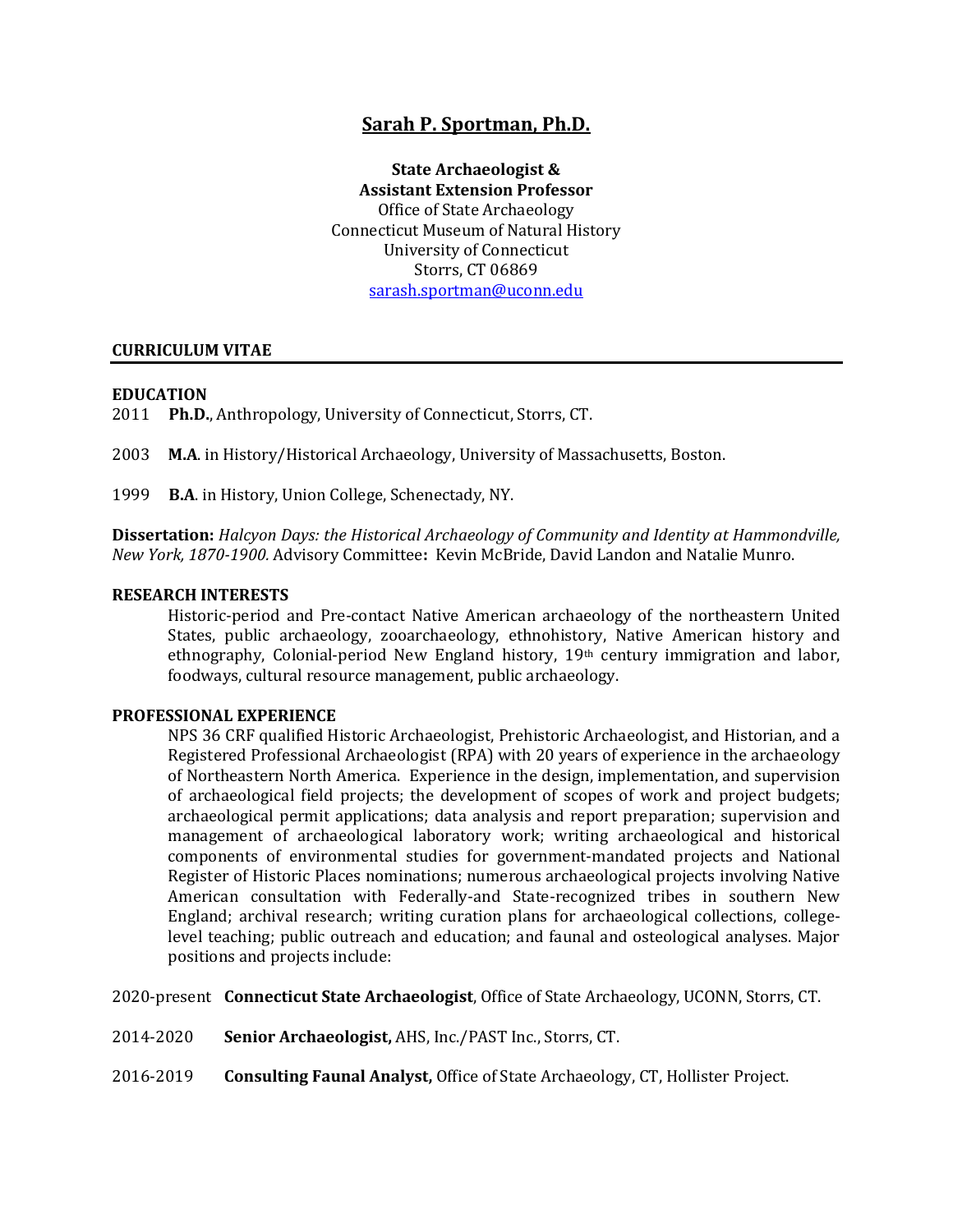# **Sarah P. Sportman, Ph.D.**

**State Archaeologist & Assistant Extension Professor** Office of State Archaeology Connecticut Museum of Natural History University of Connecticut Storrs, CT 06869 [sarash.sportman@uconn.edu](mailto:sarahsportman@gmail.com)

### **CURRICULUM VITAE**

### **EDUCATION**

2011 **Ph.D.**, Anthropology, University of Connecticut, Storrs, CT.

2003 **M.A**. in History/Historical Archaeology, University of Massachusetts, Boston.

1999 **B.A**. in History, Union College, Schenectady, NY.

**Dissertation:** *Halcyon Days: the Historical Archaeology of Community and Identity at Hammondville, New York, 1870-1900.* Advisory Committee**:** Kevin McBride, David Landon and Natalie Munro.

#### **RESEARCH INTERESTS**

Historic-period and Pre-contact Native American archaeology of the northeastern United States, public archaeology, zooarchaeology, ethnohistory, Native American history and ethnography, Colonial-period New England history, 19th century immigration and labor, foodways, cultural resource management, public archaeology.

#### **PROFESSIONAL EXPERIENCE**

NPS 36 CRF qualified Historic Archaeologist, Prehistoric Archaeologist, and Historian, and a Registered Professional Archaeologist (RPA) with 20 years of experience in the archaeology of Northeastern North America. Experience in the design, implementation, and supervision of archaeological field projects; the development of scopes of work and project budgets; archaeological permit applications; data analysis and report preparation; supervision and management of archaeological laboratory work; writing archaeological and historical components of environmental studies for government-mandated projects and National Register of Historic Places nominations; numerous archaeological projects involving Native American consultation with Federally-and State-recognized tribes in southern New England; archival research; writing curation plans for archaeological collections, collegelevel teaching; public outreach and education; and faunal and osteological analyses. Major positions and projects include:

2020-present **Connecticut State Archaeologist**, Office of State Archaeology, UCONN, Storrs, CT.

- 2014-2020 **Senior Archaeologist,** AHS, Inc./PAST Inc., Storrs, CT.
- 2016-2019 **Consulting Faunal Analyst,** Office of State Archaeology, CT, Hollister Project.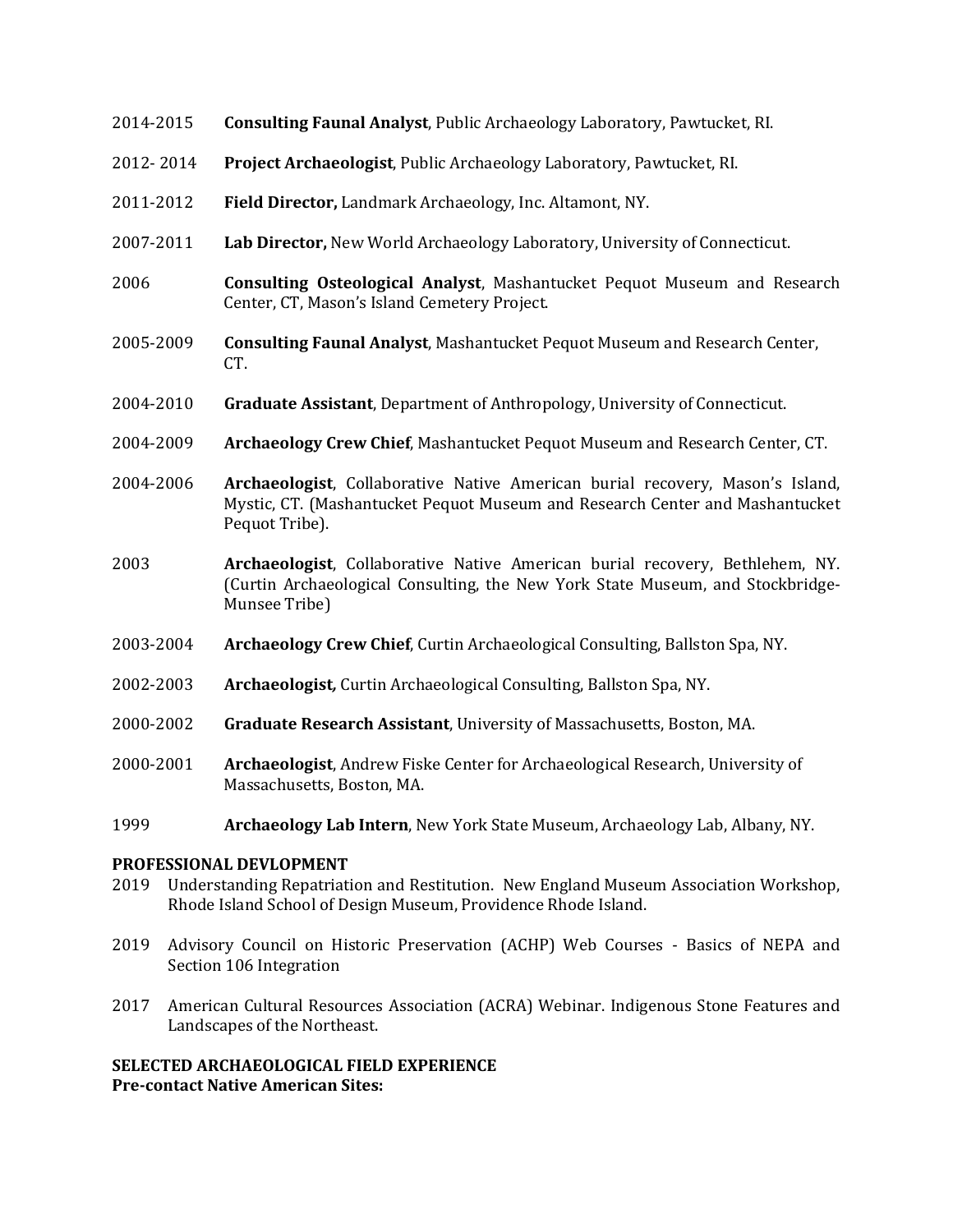- 2014-2015 **Consulting Faunal Analyst**, Public Archaeology Laboratory, Pawtucket, RI.
- 2012- 2014 **Project Archaeologist**, Public Archaeology Laboratory, Pawtucket, RI.
- 2011-2012 **Field Director,** Landmark Archaeology, Inc. Altamont, NY.
- 2007-2011 **Lab Director,** New World Archaeology Laboratory, University of Connecticut.
- 2006 **Consulting Osteological Analyst**, Mashantucket Pequot Museum and Research Center, CT, Mason's Island Cemetery Project.
- 2005-2009 **Consulting Faunal Analyst**, Mashantucket Pequot Museum and Research Center, CT.
- 2004-2010 **Graduate Assistant**, Department of Anthropology, University of Connecticut.
- 2004-2009 **Archaeology Crew Chief**, Mashantucket Pequot Museum and Research Center, CT.
- 2004-2006 **Archaeologist**, Collaborative Native American burial recovery, Mason's Island, Mystic, CT. (Mashantucket Pequot Museum and Research Center and Mashantucket Pequot Tribe).
- 2003 **Archaeologist**, Collaborative Native American burial recovery, Bethlehem, NY. (Curtin Archaeological Consulting, the New York State Museum, and Stockbridge-Munsee Tribe)
- 2003-2004 **Archaeology Crew Chief**, Curtin Archaeological Consulting, Ballston Spa, NY.
- 2002-2003 **Archaeologist***,* Curtin Archaeological Consulting, Ballston Spa, NY.
- 2000-2002 **Graduate Research Assistant**, University of Massachusetts, Boston, MA.
- 2000-2001 **Archaeologist**, Andrew Fiske Center for Archaeological Research, University of Massachusetts, Boston, MA.
- 1999 **Archaeology Lab Intern**, New York State Museum, Archaeology Lab, Albany, NY.

## **PROFESSIONAL DEVLOPMENT**

- 2019 Understanding Repatriation and Restitution. New England Museum Association Workshop, Rhode Island School of Design Museum, Providence Rhode Island.
- 2019 Advisory Council on Historic Preservation (ACHP) Web Courses Basics of NEPA and Section 106 Integration
- 2017 American Cultural Resources Association (ACRA) Webinar. Indigenous Stone Features and Landscapes of the Northeast.

## **SELECTED ARCHAEOLOGICAL FIELD EXPERIENCE Pre-contact Native American Sites:**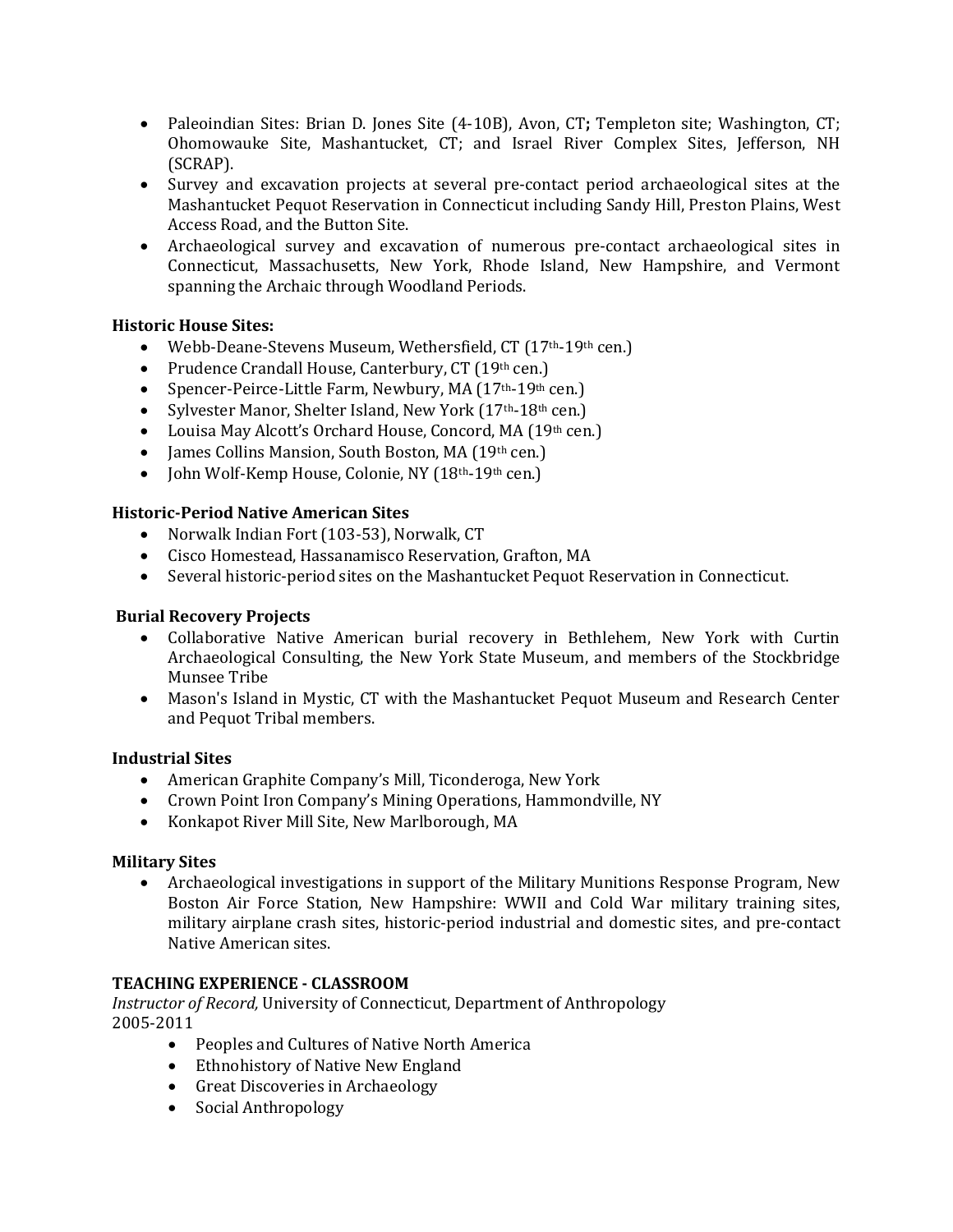- Paleoindian Sites: Brian D. Jones Site (4-10B), Avon, CT**;** Templeton site; Washington, CT; Ohomowauke Site, Mashantucket, CT; and Israel River Complex Sites, Jefferson, NH (SCRAP).
- Survey and excavation projects at several pre-contact period archaeological sites at the Mashantucket Pequot Reservation in Connecticut including Sandy Hill, Preston Plains, West Access Road, and the Button Site.
- Archaeological survey and excavation of numerous pre-contact archaeological sites in Connecticut, Massachusetts, New York, Rhode Island, New Hampshire, and Vermont spanning the Archaic through Woodland Periods.

# **Historic House Sites:**

- Webb-Deane-Stevens Museum, Wethersfield, CT (17<sup>th</sup>-19<sup>th</sup> cen.)
- Prudence Crandall House, Canterbury, CT (19th cen.)
- Spencer-Peirce-Little Farm, Newbury, MA (17<sup>th</sup>-19<sup>th</sup> cen.)
- Sylvester Manor, Shelter Island, New York (17<sup>th</sup>-18<sup>th</sup> cen.)
- Louisa May Alcott's Orchard House, Concord, MA (19th cen.)
- James Collins Mansion, South Boston, MA (19th cen.)
- Iohn Wolf-Kemp House, Colonie, NY (18<sup>th</sup>-19<sup>th</sup> cen.)

# **Historic-Period Native American Sites**

- Norwalk Indian Fort (103-53), Norwalk, CT
- Cisco Homestead, Hassanamisco Reservation, Grafton, MA
- Several historic-period sites on the Mashantucket Pequot Reservation in Connecticut.

# **Burial Recovery Projects**

- Collaborative Native American burial recovery in Bethlehem, New York with Curtin Archaeological Consulting, the New York State Museum, and members of the Stockbridge Munsee Tribe
- Mason's Island in Mystic, CT with the Mashantucket Pequot Museum and Research Center and Pequot Tribal members.

# **Industrial Sites**

- American Graphite Company's Mill, Ticonderoga, New York
- Crown Point Iron Company's Mining Operations, Hammondville, NY
- Konkapot River Mill Site, New Marlborough, MA

# **Military Sites**

• Archaeological investigations in support of the Military Munitions Response Program, New Boston Air Force Station, New Hampshire: WWII and Cold War military training sites, military airplane crash sites, historic-period industrial and domestic sites, and pre-contact Native American sites.

# **TEACHING EXPERIENCE - CLASSROOM**

*Instructor of Record,* University of Connecticut, Department of Anthropology 2005-2011

- Peoples and Cultures of Native North America
- Ethnohistory of Native New England
- Great Discoveries in Archaeology
- Social Anthropology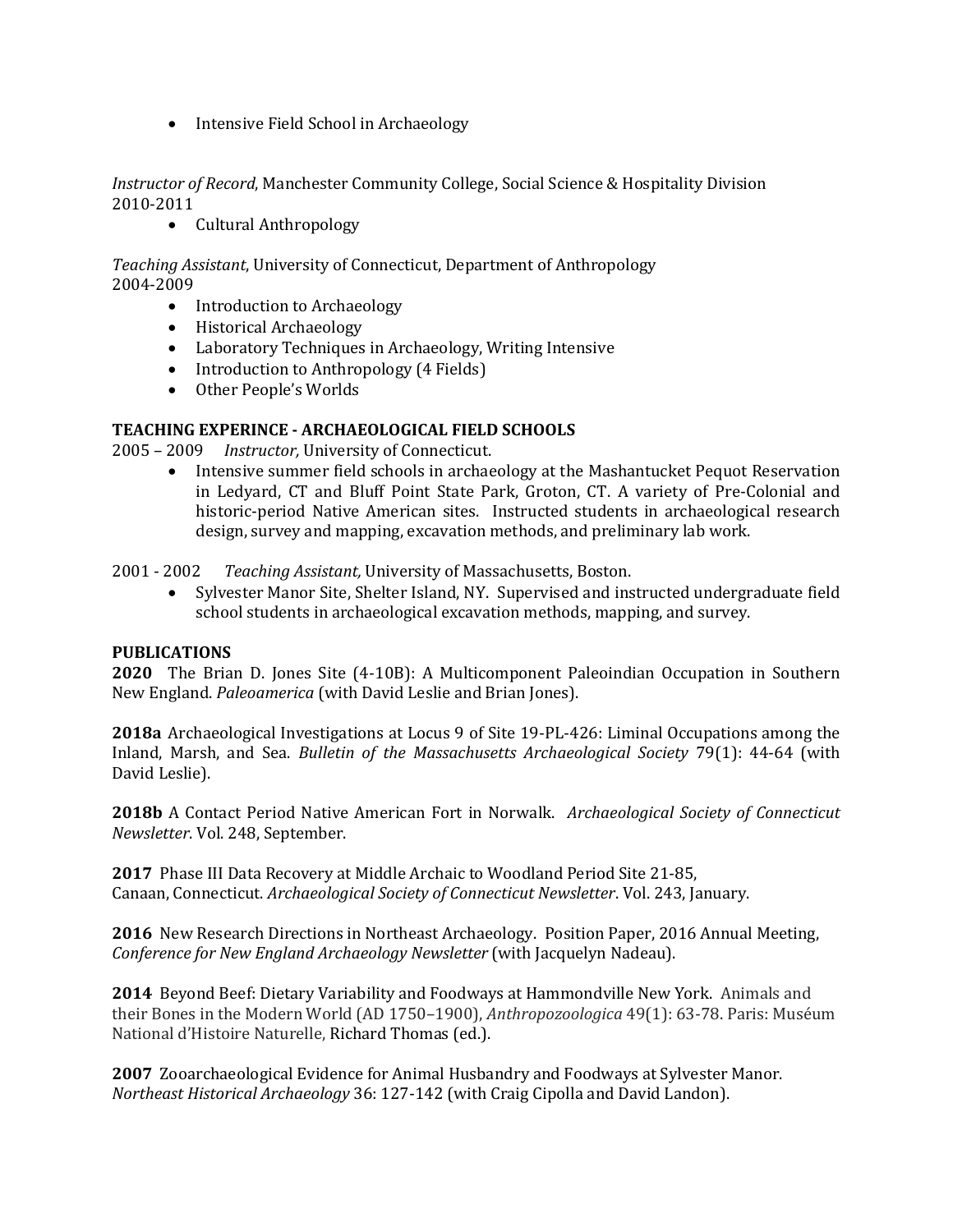• Intensive Field School in Archaeology

*Instructor of Record*, Manchester Community College, Social Science & Hospitality Division 2010-2011

• Cultural Anthropology

*Teaching Assistant*, University of Connecticut, Department of Anthropology 2004-2009

- Introduction to Archaeology
- Historical Archaeology
- Laboratory Techniques in Archaeology, Writing Intensive
- Introduction to Anthropology (4 Fields)
- Other People's Worlds

## **TEACHING EXPERINCE - ARCHAEOLOGICAL FIELD SCHOOLS**

2005 – 2009 *Instructor,* University of Connecticut.

• Intensive summer field schools in archaeology at the Mashantucket Pequot Reservation in Ledyard, CT and Bluff Point State Park, Groton, CT. A variety of Pre-Colonial and historic-period Native American sites. Instructed students in archaeological research design, survey and mapping, excavation methods, and preliminary lab work.

2001 - 2002 *Teaching Assistant,* University of Massachusetts, Boston.

• Sylvester Manor Site, Shelter Island, NY. Supervised and instructed undergraduate field school students in archaeological excavation methods, mapping, and survey.

## **PUBLICATIONS**

**2020** The Brian D. Jones Site (4-10B): A Multicomponent Paleoindian Occupation in Southern New England. *Paleoamerica* (with David Leslie and Brian Jones).

**2018a** Archaeological Investigations at Locus 9 of Site 19-PL-426: Liminal Occupations among the Inland, Marsh, and Sea. *Bulletin of the Massachusetts Archaeological Society* 79(1): 44-64 (with David Leslie).

**2018b** A Contact Period Native American Fort in Norwalk. *Archaeological Society of Connecticut Newsletter*. Vol. 248, September.

**2017** Phase III Data Recovery at Middle Archaic to Woodland Period Site 21-85, Canaan, Connecticut. *Archaeological Society of Connecticut Newsletter*. Vol. 243, January.

**2016** New Research Directions in Northeast Archaeology. Position Paper, 2016 Annual Meeting, *Conference for New England Archaeology Newsletter* (with Jacquelyn Nadeau).

**2014** Beyond Beef: Dietary Variability and Foodways at Hammondville New York. Animals and their Bones in the Modern World (AD 1750–1900), *Anthropozoologica* 49(1): 63-78. Paris: Muséum National d'Histoire Naturelle, Richard Thomas (ed.).

**2007** Zooarchaeological Evidence for Animal Husbandry and Foodways at Sylvester Manor. *Northeast Historical Archaeology* 36: 127-142 (with Craig Cipolla and David Landon).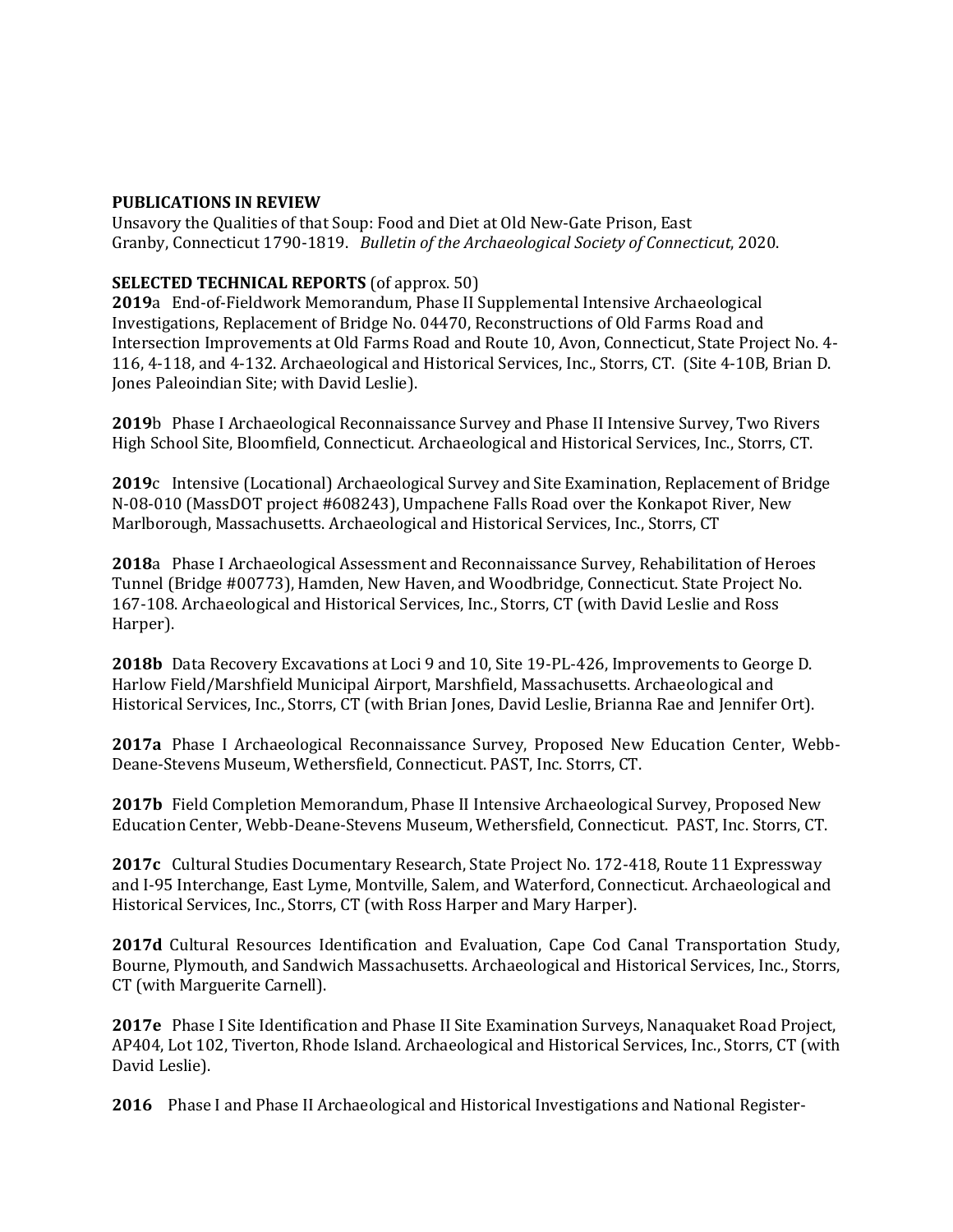### **PUBLICATIONS IN REVIEW**

Unsavory the Qualities of that Soup: Food and Diet at Old New-Gate Prison, East Granby, Connecticut 1790-1819. *Bulletin of the Archaeological Society of Connecticut*, 2020.

## **SELECTED TECHNICAL REPORTS** (of approx. 50)

**2019**a End-of-Fieldwork Memorandum, Phase II Supplemental Intensive Archaeological Investigations, Replacement of Bridge No. 04470, Reconstructions of Old Farms Road and Intersection Improvements at Old Farms Road and Route 10, Avon, Connecticut, State Project No. 4- 116, 4-118, and 4-132. Archaeological and Historical Services, Inc., Storrs, CT. (Site 4-10B, Brian D. Jones Paleoindian Site; with David Leslie).

**2019**b Phase I Archaeological Reconnaissance Survey and Phase II Intensive Survey, Two Rivers High School Site, Bloomfield, Connecticut. Archaeological and Historical Services, Inc., Storrs, CT.

**2019**c Intensive (Locational) Archaeological Survey and Site Examination, Replacement of Bridge N-08-010 (MassDOT project #608243), Umpachene Falls Road over the Konkapot River, New Marlborough, Massachusetts. Archaeological and Historical Services, Inc., Storrs, CT

**2018**a Phase I Archaeological Assessment and Reconnaissance Survey, Rehabilitation of Heroes Tunnel (Bridge #00773), Hamden, New Haven, and Woodbridge, Connecticut. State Project No. 167-108. Archaeological and Historical Services, Inc., Storrs, CT (with David Leslie and Ross Harper).

**2018b** Data Recovery Excavations at Loci 9 and 10, Site 19-PL-426, Improvements to George D. Harlow Field/Marshfield Municipal Airport, Marshfield, Massachusetts. Archaeological and Historical Services, Inc., Storrs, CT (with Brian Jones, David Leslie, Brianna Rae and Jennifer Ort).

**2017a** Phase I Archaeological Reconnaissance Survey, Proposed New Education Center, Webb-Deane-Stevens Museum, Wethersfield, Connecticut. PAST, Inc. Storrs, CT.

**2017b** Field Completion Memorandum, Phase II Intensive Archaeological Survey, Proposed New Education Center, Webb-Deane-Stevens Museum, Wethersfield, Connecticut. PAST, Inc. Storrs, CT.

**2017c** Cultural Studies Documentary Research, State Project No. 172-418, Route 11 Expressway and I-95 Interchange, East Lyme, Montville, Salem, and Waterford, Connecticut. Archaeological and Historical Services, Inc., Storrs, CT (with Ross Harper and Mary Harper).

**2017d** Cultural Resources Identification and Evaluation, Cape Cod Canal Transportation Study, Bourne, Plymouth, and Sandwich Massachusetts. Archaeological and Historical Services, Inc., Storrs, CT (with Marguerite Carnell).

**2017e** Phase I Site Identification and Phase II Site Examination Surveys, Nanaquaket Road Project, AP404, Lot 102, Tiverton, Rhode Island. Archaeological and Historical Services, Inc., Storrs, CT (with David Leslie).

**2016** Phase I and Phase II Archaeological and Historical Investigations and National Register-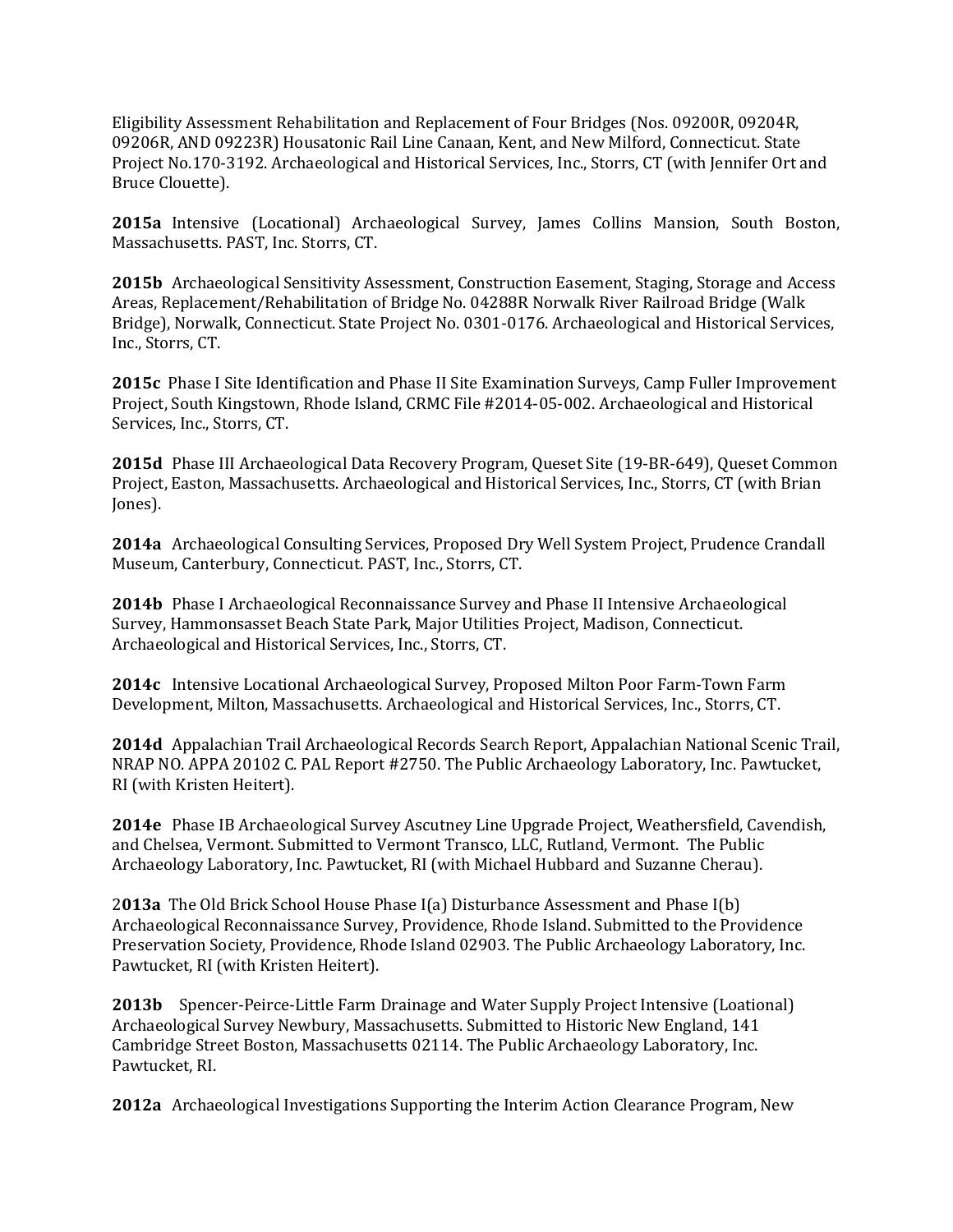Eligibility Assessment Rehabilitation and Replacement of Four Bridges (Nos. 09200R, 09204R, 09206R, AND 09223R) Housatonic Rail Line Canaan, Kent, and New Milford, Connecticut. State Project No.170-3192. Archaeological and Historical Services, Inc., Storrs, CT (with Jennifer Ort and Bruce Clouette).

**2015a** Intensive (Locational) Archaeological Survey, James Collins Mansion, South Boston, Massachusetts. PAST, Inc. Storrs, CT.

**2015b** Archaeological Sensitivity Assessment, Construction Easement, Staging, Storage and Access Areas, Replacement/Rehabilitation of Bridge No. 04288R Norwalk River Railroad Bridge (Walk Bridge), Norwalk, Connecticut. State Project No. 0301-0176. Archaeological and Historical Services, Inc., Storrs, CT.

**2015c** Phase I Site Identification and Phase II Site Examination Surveys, Camp Fuller Improvement Project, South Kingstown, Rhode Island, CRMC File #2014-05-002. Archaeological and Historical Services, Inc., Storrs, CT.

**2015d** Phase III Archaeological Data Recovery Program, Queset Site (19-BR-649), Queset Common Project, Easton, Massachusetts. Archaeological and Historical Services, Inc., Storrs, CT (with Brian Jones).

**2014a** Archaeological Consulting Services, Proposed Dry Well System Project, Prudence Crandall Museum, Canterbury, Connecticut. PAST, Inc., Storrs, CT.

**2014b** Phase I Archaeological Reconnaissance Survey and Phase II Intensive Archaeological Survey, Hammonsasset Beach State Park, Major Utilities Project, Madison, Connecticut. Archaeological and Historical Services, Inc., Storrs, CT.

**2014c** Intensive Locational Archaeological Survey, Proposed Milton Poor Farm-Town Farm Development, Milton, Massachusetts. Archaeological and Historical Services, Inc., Storrs, CT.

**2014d** Appalachian Trail Archaeological Records Search Report, Appalachian National Scenic Trail, NRAP NO. APPA 20102 C. PAL Report #2750. The Public Archaeology Laboratory, Inc. Pawtucket, RI (with Kristen Heitert).

**2014e** Phase IB Archaeological Survey Ascutney Line Upgrade Project, Weathersfield, Cavendish, and Chelsea, Vermont. Submitted to Vermont Transco, LLC, Rutland, Vermont. The Public Archaeology Laboratory, Inc. Pawtucket, RI (with Michael Hubbard and Suzanne Cherau).

2**013a** The Old Brick School House Phase I(a) Disturbance Assessment and Phase I(b) Archaeological Reconnaissance Survey, Providence, Rhode Island. Submitted to the Providence Preservation Society, Providence, Rhode Island 02903. The Public Archaeology Laboratory, Inc. Pawtucket, RI (with Kristen Heitert).

**2013b** Spencer-Peirce-Little Farm Drainage and Water Supply Project Intensive (Loational) Archaeological Survey Newbury, Massachusetts. Submitted to Historic New England, 141 Cambridge Street Boston, Massachusetts 02114. The Public Archaeology Laboratory, Inc. Pawtucket, RI.

**2012a** Archaeological Investigations Supporting the Interim Action Clearance Program, New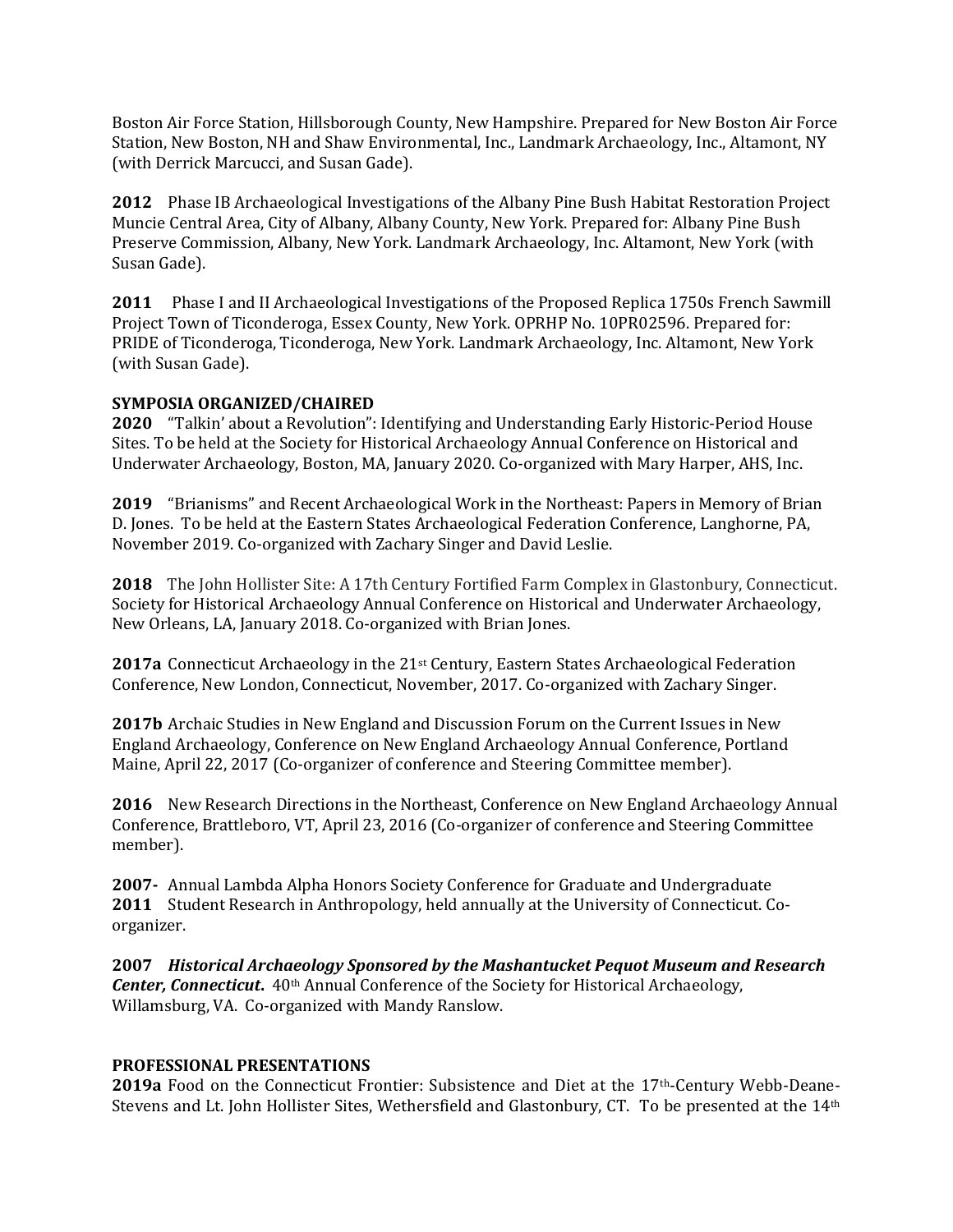Boston Air Force Station, Hillsborough County, New Hampshire. Prepared for New Boston Air Force Station, New Boston, NH and Shaw Environmental, Inc., Landmark Archaeology, Inc., Altamont, NY (with Derrick Marcucci, and Susan Gade).

**2012** Phase IB Archaeological Investigations of the Albany Pine Bush Habitat Restoration Project Muncie Central Area, City of Albany, Albany County, New York. Prepared for: Albany Pine Bush Preserve Commission, Albany, New York. Landmark Archaeology, Inc. Altamont, New York (with Susan Gade).

**2011** Phase I and II Archaeological Investigations of the Proposed Replica 1750s French Sawmill Project Town of Ticonderoga, Essex County, New York. OPRHP No. 10PR02596. Prepared for: PRIDE of Ticonderoga, Ticonderoga, New York. Landmark Archaeology, Inc. Altamont, New York (with Susan Gade).

# **SYMPOSIA ORGANIZED/CHAIRED**

**2020** "Talkin' about a Revolution": Identifying and Understanding Early Historic-Period House Sites. To be held at the Society for Historical Archaeology Annual Conference on Historical and Underwater Archaeology, Boston, MA, January 2020. Co-organized with Mary Harper, AHS, Inc.

**2019** "Brianisms" and Recent Archaeological Work in the Northeast: Papers in Memory of Brian D. Jones. To be held at the Eastern States Archaeological Federation Conference, Langhorne, PA, November 2019. Co-organized with Zachary Singer and David Leslie.

**2018** The John Hollister Site: A 17th Century Fortified Farm Complex in Glastonbury, Connecticut. Society for Historical Archaeology Annual Conference on Historical and Underwater Archaeology, New Orleans, LA, January 2018. Co-organized with Brian Jones.

**2017a** Connecticut Archaeology in the 21<sup>st</sup> Century, Eastern States Archaeological Federation Conference, New London, Connecticut, November, 2017. Co-organized with Zachary Singer.

**2017b** Archaic Studies in New England and Discussion Forum on the Current Issues in New England Archaeology, Conference on New England Archaeology Annual Conference, Portland Maine, April 22, 2017 (Co-organizer of conference and Steering Committee member).

**2016** New Research Directions in the Northeast, Conference on New England Archaeology Annual Conference, Brattleboro, VT, April 23, 2016 (Co-organizer of conference and Steering Committee member).

**2007-** Annual Lambda Alpha Honors Society Conference for Graduate and Undergraduate **2011** Student Research in Anthropology, held annually at the University of Connecticut. Coorganizer.

**2007** *Historical Archaeology Sponsored by the Mashantucket Pequot Museum and Research Center, Connecticut.* 40<sup>th</sup> Annual Conference of the Society for Historical Archaeology, Willamsburg, VA. Co-organized with Mandy Ranslow.

## **PROFESSIONAL PRESENTATIONS**

**2019a** Food on the Connecticut Frontier: Subsistence and Diet at the 17th-Century Webb-Deane-Stevens and Lt. John Hollister Sites, Wethersfield and Glastonbury, CT. To be presented at the 14th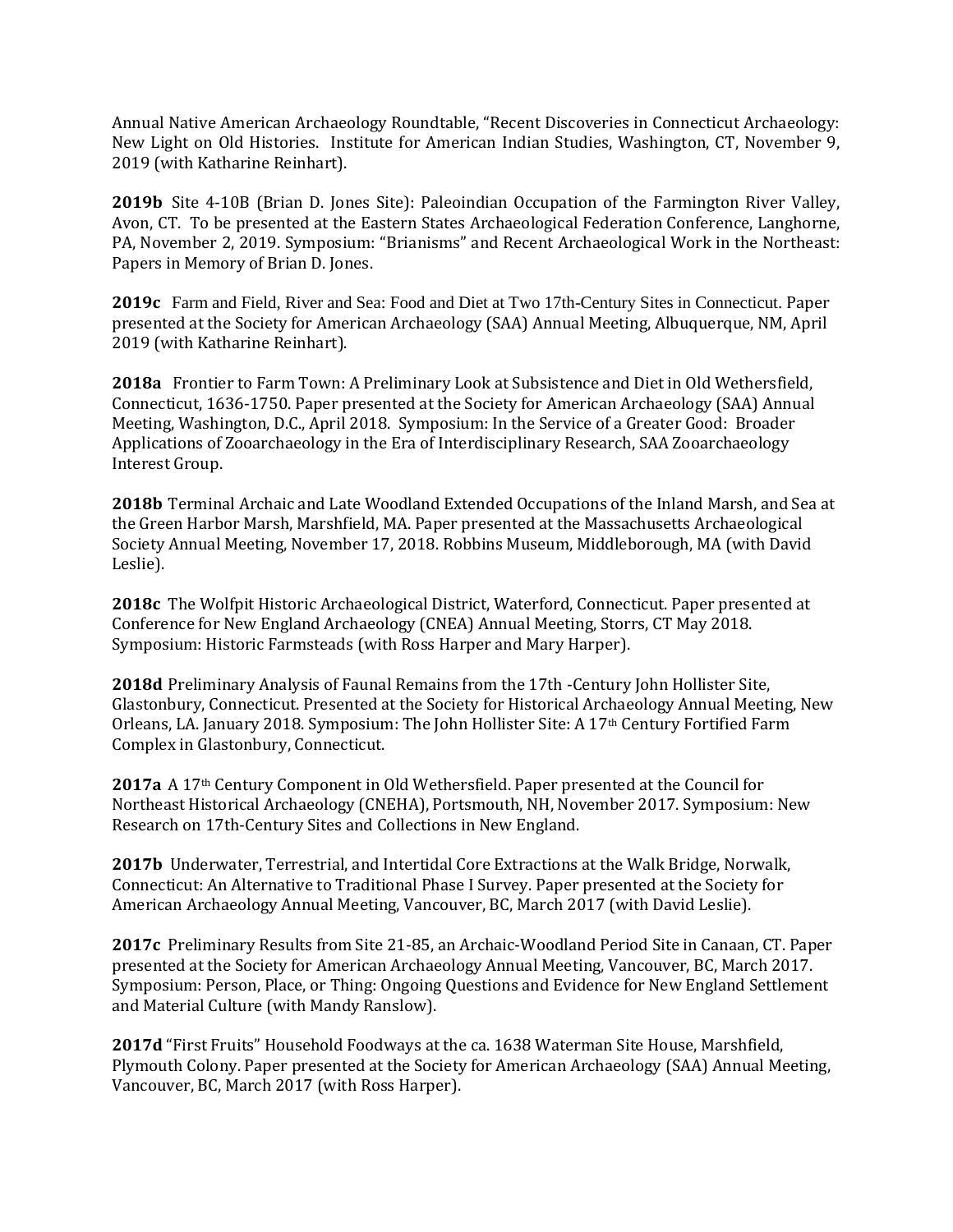Annual Native American Archaeology Roundtable, "Recent Discoveries in Connecticut Archaeology: New Light on Old Histories. Institute for American Indian Studies, Washington, CT, November 9, 2019 (with Katharine Reinhart).

**2019b** Site 4-10B (Brian D. Jones Site): Paleoindian Occupation of the Farmington River Valley, Avon, CT. To be presented at the Eastern States Archaeological Federation Conference, Langhorne, PA, November 2, 2019. Symposium: "Brianisms" and Recent Archaeological Work in the Northeast: Papers in Memory of Brian D. Jones.

**2019c** Farm and Field, River and Sea: Food and Diet at Two 17th-Century Sites in Connecticut. Paper presented at the Society for American Archaeology (SAA) Annual Meeting, Albuquerque, NM, April 2019 (with Katharine Reinhart).

**2018a** Frontier to Farm Town: A Preliminary Look at Subsistence and Diet in Old Wethersfield, Connecticut, 1636-1750. Paper presented at the Society for American Archaeology (SAA) Annual Meeting, Washington, D.C., April 2018. Symposium: In the Service of a Greater Good: Broader Applications of Zooarchaeology in the Era of Interdisciplinary Research, SAA Zooarchaeology Interest Group.

**2018b** Terminal Archaic and Late Woodland Extended Occupations of the Inland Marsh, and Sea at the Green Harbor Marsh, Marshfield, MA. Paper presented at the Massachusetts Archaeological Society Annual Meeting, November 17, 2018. Robbins Museum, Middleborough, MA (with David Leslie).

**2018c** The Wolfpit Historic Archaeological District, Waterford, Connecticut. Paper presented at Conference for New England Archaeology (CNEA) Annual Meeting, Storrs, CT May 2018. Symposium: Historic Farmsteads (with Ross Harper and Mary Harper).

**2018d** Preliminary Analysis of Faunal Remains from the 17th -Century John Hollister Site, Glastonbury, Connecticut. Presented at the Society for Historical Archaeology Annual Meeting, New Orleans, LA. January 2018. Symposium: The John Hollister Site: A 17th Century Fortified Farm Complex in Glastonbury, Connecticut.

**2017a** A 17th Century Component in Old Wethersfield. Paper presented at the Council for Northeast Historical Archaeology (CNEHA), Portsmouth, NH, November 2017. Symposium: New Research on 17th-Century Sites and Collections in New England.

**2017b** Underwater, Terrestrial, and Intertidal Core Extractions at the Walk Bridge, Norwalk, Connecticut: An Alternative to Traditional Phase I Survey. Paper presented at the Society for American Archaeology Annual Meeting, Vancouver, BC, March 2017 (with David Leslie).

**2017c** [Preliminary Results from Site 21-85, an Archaic-Woodland Period Site in Canaan, CT.](https://www.academia.edu/37156908/Preliminary_Results_from_Site_21-85_an_Archaic-Woodland_Period_Site_in_Canaan_CT) Paper presented at the Society for American Archaeology Annual Meeting, Vancouver, BC, March 2017. Symposium: Person, Place, or Thing: Ongoing Questions and Evidence for New England Settlement and Material Culture (with Mandy Ranslow).

**2017d** "First Fruits" Household Foodways at the ca. 1638 Waterman Site House, Marshfield, Plymouth Colony. Paper presented at the Society for American Archaeology (SAA) Annual Meeting, Vancouver, BC, March 2017 (with Ross Harper).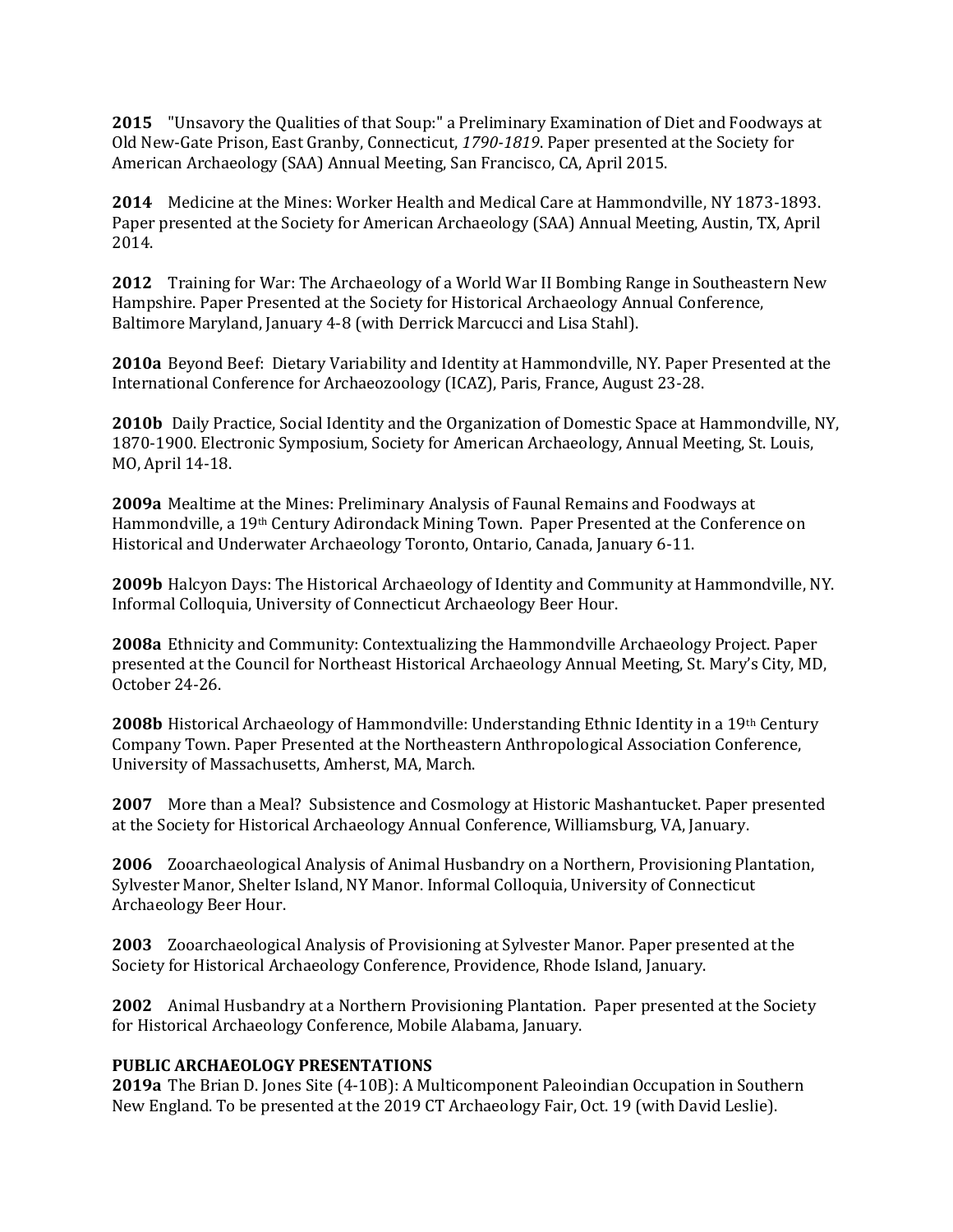**2015** "Unsavory the Qualities of that Soup:" a Preliminary Examination of Diet and Foodways at Old New-Gate Prison, East Granby, Connecticut, *1790-1819*. Paper presented at the Society for American Archaeology (SAA) Annual Meeting, San Francisco, CA, April 2015.

**2014** Medicine at the Mines: Worker Health and Medical Care at Hammondville, NY 1873-1893. Paper presented at the Society for American Archaeology (SAA) Annual Meeting, Austin, TX, April 2014.

**2012** Training for War: The Archaeology of a World War II Bombing Range in Southeastern New Hampshire. Paper Presented at the Society for Historical Archaeology Annual Conference, Baltimore Maryland, January 4-8 (with Derrick Marcucci and Lisa Stahl).

**2010a** Beyond Beef: Dietary Variability and Identity at Hammondville, NY. Paper Presented at the International Conference for Archaeozoology (ICAZ), Paris, France, August 23-28.

**2010b** Daily Practice, Social Identity and the Organization of Domestic Space at Hammondville, NY, 1870-1900. Electronic Symposium, Society for American Archaeology, Annual Meeting, St. Louis, MO, April 14-18.

**2009a** Mealtime at the Mines: Preliminary Analysis of Faunal Remains and Foodways at Hammondville, a 19th Century Adirondack Mining Town. Paper Presented at the Conference on Historical and Underwater Archaeology Toronto, Ontario, Canada, January 6-11.

**2009b** Halcyon Days: The Historical Archaeology of Identity and Community at Hammondville, NY. Informal Colloquia, University of Connecticut Archaeology Beer Hour.

**2008a** Ethnicity and Community: Contextualizing the Hammondville Archaeology Project. Paper presented at the Council for Northeast Historical Archaeology Annual Meeting, St. Mary's City, MD, October 24-26.

**2008b** Historical Archaeology of Hammondville: Understanding Ethnic Identity in a 19th Century Company Town. Paper Presented at the Northeastern Anthropological Association Conference, University of Massachusetts, Amherst, MA, March.

**2007** More than a Meal? Subsistence and Cosmology at Historic Mashantucket. Paper presented at the Society for Historical Archaeology Annual Conference, Williamsburg, VA, January.

**2006** Zooarchaeological Analysis of Animal Husbandry on a Northern, Provisioning Plantation, Sylvester Manor, Shelter Island, NY Manor. Informal Colloquia, University of Connecticut Archaeology Beer Hour.

**2003** Zooarchaeological Analysis of Provisioning at Sylvester Manor. Paper presented at the Society for Historical Archaeology Conference, Providence, Rhode Island, January.

**2002** Animal Husbandry at a Northern Provisioning Plantation. Paper presented at the Society for Historical Archaeology Conference, Mobile Alabama, January.

# **PUBLIC ARCHAEOLOGY PRESENTATIONS**

**2019a** The Brian D. Jones Site (4-10B): A Multicomponent Paleoindian Occupation in Southern New England. To be presented at the 2019 CT Archaeology Fair, Oct. 19 (with David Leslie).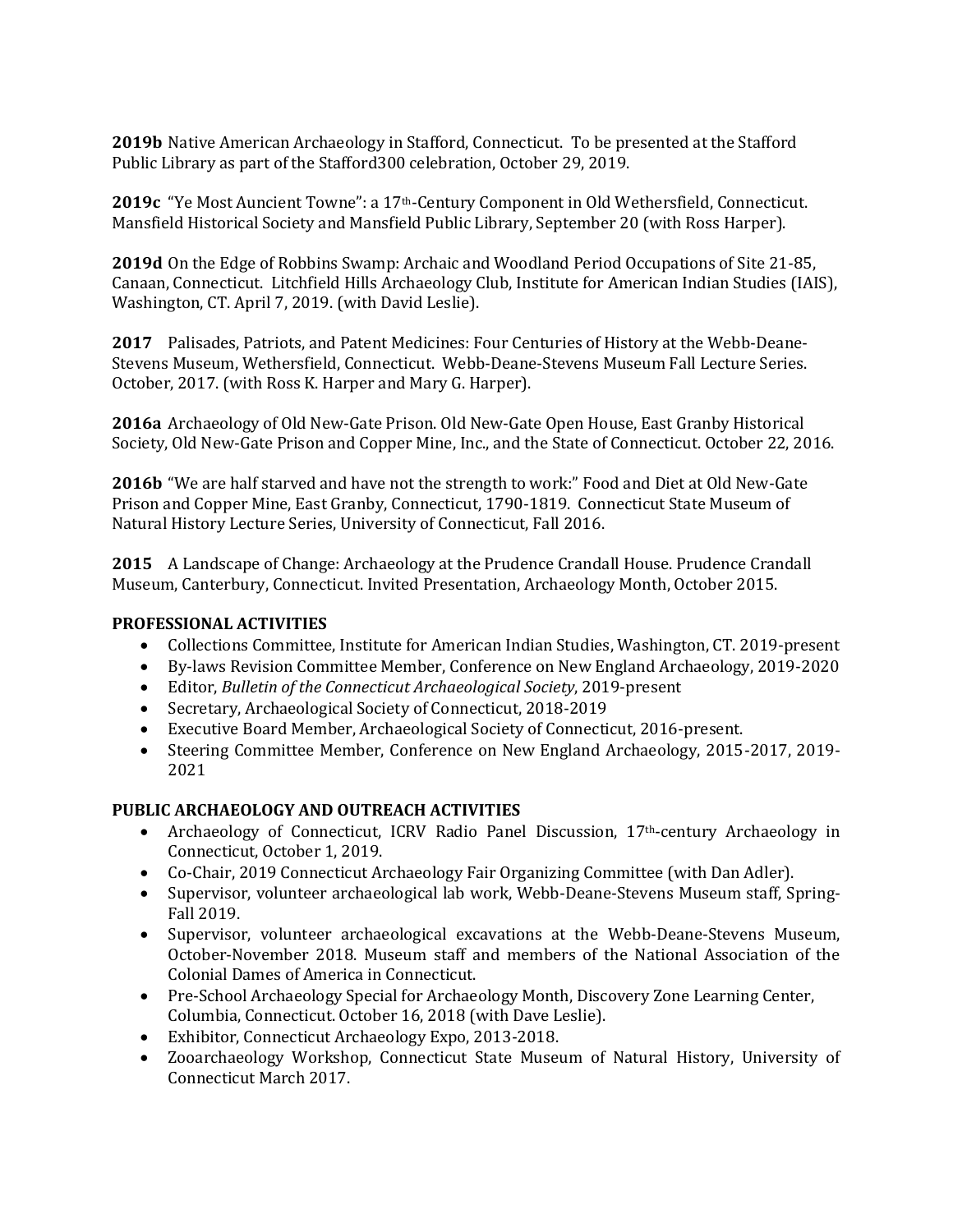**2019b** Native American Archaeology in Stafford, Connecticut. To be presented at the Stafford Public Library as part of the Stafford300 celebration, October 29, 2019.

**2019c** "Ye Most Auncient Towne": a 17th-Century Component in Old Wethersfield, Connecticut. Mansfield Historical Society and Mansfield Public Library, September 20 (with Ross Harper).

**2019d** On the Edge of Robbins Swamp: Archaic and Woodland Period Occupations of Site 21-85, Canaan, Connecticut. Litchfield Hills Archaeology Club, Institute for American Indian Studies (IAIS), Washington, CT. April 7, 2019. (with David Leslie).

**2017** Palisades, Patriots, and Patent Medicines: Four Centuries of History at the Webb-Deane-Stevens Museum, Wethersfield, Connecticut. Webb-Deane-Stevens Museum Fall Lecture Series. October, 2017. (with Ross K. Harper and Mary G. Harper).

**2016a** Archaeology of Old New-Gate Prison. Old New-Gate Open House, East Granby Historical Society, Old New-Gate Prison and Copper Mine, Inc., and the State of Connecticut. October 22, 2016.

**2016b** "We are half starved and have not the strength to work:" Food and Diet at Old New-Gate Prison and Copper Mine, East Granby, Connecticut, 1790-1819. Connecticut State Museum of Natural History Lecture Series, University of Connecticut, Fall 2016.

**2015** A Landscape of Change: Archaeology at the Prudence Crandall House. Prudence Crandall Museum, Canterbury, Connecticut. Invited Presentation, Archaeology Month, October 2015.

## **PROFESSIONAL ACTIVITIES**

- Collections Committee, Institute for American Indian Studies, Washington, CT. 2019-present
- By-laws Revision Committee Member, Conference on New England Archaeology, 2019-2020
- Editor, *Bulletin of the Connecticut Archaeological Society*, 2019-present
- Secretary, Archaeological Society of Connecticut, 2018-2019
- Executive Board Member, Archaeological Society of Connecticut, 2016-present.
- Steering Committee Member, Conference on New England Archaeology, 2015-2017, 2019- 2021

# **PUBLIC ARCHAEOLOGY AND OUTREACH ACTIVITIES**

- Archaeology of Connecticut, ICRV Radio Panel Discussion,  $17<sup>th</sup>$ -century Archaeology in Connecticut, October 1, 2019.
- Co-Chair, 2019 Connecticut Archaeology Fair Organizing Committee (with Dan Adler).
- Supervisor, volunteer archaeological lab work, Webb-Deane-Stevens Museum staff, Spring-Fall 2019.
- Supervisor, volunteer archaeological excavations at the Webb-Deane-Stevens Museum, October-November 2018. Museum staff and members of the National Association of the Colonial Dames of America in Connecticut.
- Pre-School Archaeology Special for Archaeology Month, Discovery Zone Learning Center, Columbia, Connecticut. October 16, 2018 (with Dave Leslie).
- Exhibitor, Connecticut Archaeology Expo, 2013-2018.
- Zooarchaeology Workshop, Connecticut State Museum of Natural History, University of Connecticut March 2017.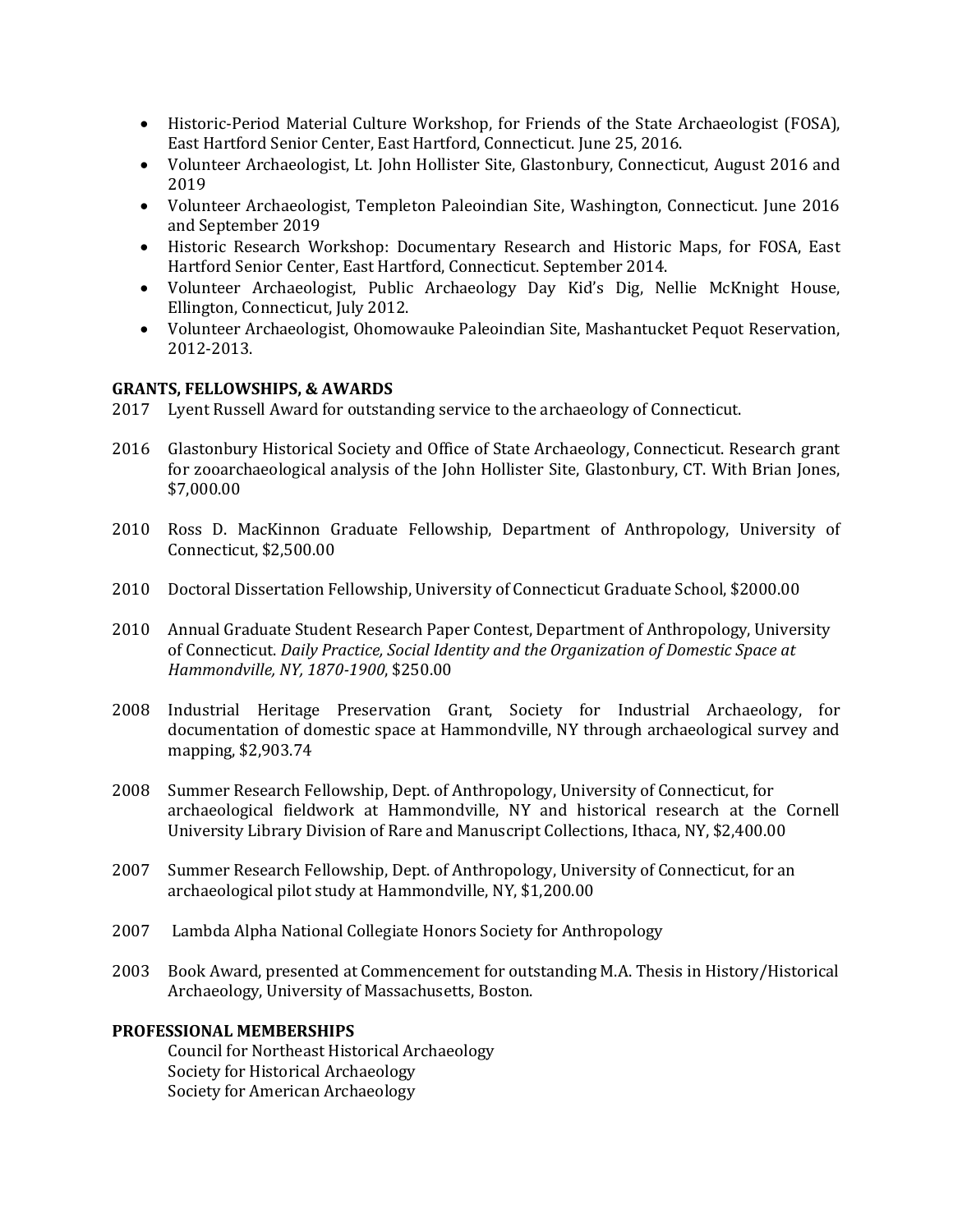- Historic-Period Material Culture Workshop, for Friends of the State Archaeologist (FOSA), East Hartford Senior Center, East Hartford, Connecticut. June 25, 2016.
- Volunteer Archaeologist, Lt. John Hollister Site, Glastonbury, Connecticut, August 2016 and 2019
- Volunteer Archaeologist, Templeton Paleoindian Site, Washington, Connecticut. June 2016 and September 2019
- Historic Research Workshop: Documentary Research and Historic Maps, for FOSA, East Hartford Senior Center, East Hartford, Connecticut. September 2014.
- Volunteer Archaeologist, Public Archaeology Day Kid's Dig, Nellie McKnight House, Ellington, Connecticut, July 2012.
- Volunteer Archaeologist, Ohomowauke Paleoindian Site, Mashantucket Pequot Reservation, 2012-2013.

## **GRANTS, FELLOWSHIPS, & AWARDS**

- 2017 Lyent Russell Award for outstanding service to the archaeology of Connecticut.
- 2016 Glastonbury Historical Society and Office of State Archaeology, Connecticut. Research grant for zooarchaeological analysis of the John Hollister Site, Glastonbury, CT. With Brian Jones, \$7,000.00
- 2010 Ross D. MacKinnon Graduate Fellowship, Department of Anthropology, University of Connecticut, \$2,500.00
- 2010 Doctoral Dissertation Fellowship, University of Connecticut Graduate School, \$2000.00
- 2010 Annual Graduate Student Research Paper Contest, Department of Anthropology, University of Connecticut. *Daily Practice, Social Identity and the Organization of Domestic Space at Hammondville, NY, 1870-1900*, \$250.00
- 2008 Industrial Heritage Preservation Grant, Society for Industrial Archaeology, for documentation of domestic space at Hammondville, NY through archaeological survey and mapping, \$2,903.74
- 2008 Summer Research Fellowship, Dept. of Anthropology, University of Connecticut, for archaeological fieldwork at Hammondville, NY and historical research at the Cornell University Library Division of Rare and Manuscript Collections, Ithaca, NY, \$2,400.00
- 2007 Summer Research Fellowship, Dept. of Anthropology, University of Connecticut, for an archaeological pilot study at Hammondville, NY, \$1,200.00
- 2007 Lambda Alpha National Collegiate Honors Society for Anthropology
- 2003 Book Award, presented at Commencement for outstanding M.A. Thesis in History/Historical Archaeology, University of Massachusetts, Boston.

## **PROFESSIONAL MEMBERSHIPS**

Council for Northeast Historical Archaeology Society for Historical Archaeology Society for American Archaeology